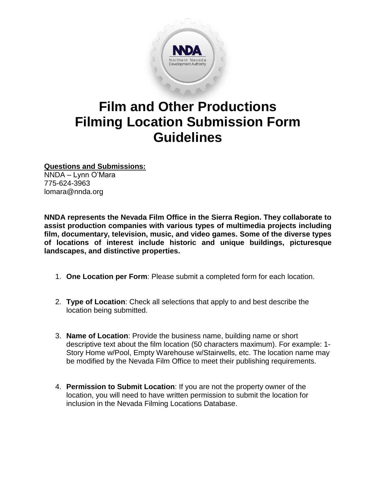

# **Film and Other Productions Filming Location Submission Form Guidelines**

**Questions and Submissions:**

NNDA – Lynn O'Mara 775-624-3963 lomara@nnda.org

**NNDA represents the Nevada Film Office in the Sierra Region. They collaborate to assist production companies with various types of multimedia projects including film, documentary, television, music, and video games. Some of the diverse types of locations of interest include historic and unique buildings, picturesque landscapes, and distinctive properties.**

- 1. **One Location per Form**: Please submit a completed form for each location.
- 2. **Type of Location**: Check all selections that apply to and best describe the location being submitted.
- 3. **Name of Location**: Provide the business name, building name or short descriptive text about the film location (50 characters maximum). For example: 1- Story Home w/Pool, Empty Warehouse w/Stairwells, etc. The location name may be modified by the Nevada Film Office to meet their publishing requirements.
- 4. **Permission to Submit Location**: If you are not the property owner of the location, you will need to have written permission to submit the location for inclusion in the Nevada Filming Locations Database.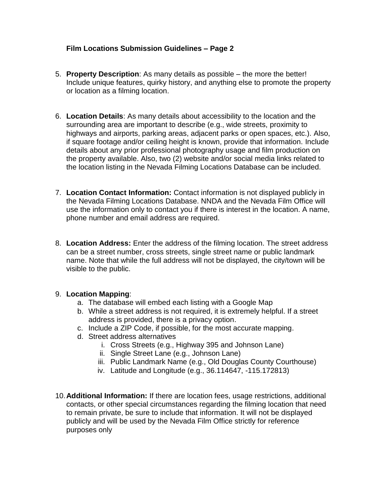### **Film Locations Submission Guidelines – Page 2**

- 5. **Property Description**: As many details as possible the more the better! Include unique features, quirky history, and anything else to promote the property or location as a filming location.
- 6. **Location Details**: As many details about accessibility to the location and the surrounding area are important to describe (e.g., wide streets, proximity to highways and airports, parking areas, adjacent parks or open spaces, etc.). Also, if square footage and/or ceiling height is known, provide that information. Include details about any prior professional photography usage and film production on the property available. Also, two (2) website and/or social media links related to the location listing in the Nevada Filming Locations Database can be included.
- 7. **Location Contact Information:** Contact information is not displayed publicly in the Nevada Filming Locations Database. NNDA and the Nevada Film Office will use the information only to contact you if there is interest in the location. A name, phone number and email address are required.
- 8. **Location Address:** Enter the address of the filming location. The street address can be a street number, cross streets, single street name or public landmark name. Note that while the full address will not be displayed, the city/town will be visible to the public.

#### 9. **Location Mapping**:

- a. The database will embed each listing with a Google Map
- b. While a street address is not required, it is extremely helpful. If a street address is provided, there is a privacy option.
- c. Include a ZIP Code, if possible, for the most accurate mapping.
- d. Street address alternatives
	- i. Cross Streets (e.g., Highway 395 and Johnson Lane)
	- ii. Single Street Lane (e.g., Johnson Lane)
	- iii. Public Landmark Name (e.g., Old Douglas County Courthouse)
	- iv. Latitude and Longitude (e.g., 36.114647, -115.172813)
- 10.**Additional Information:** If there are location fees, usage restrictions, additional contacts, or other special circumstances regarding the filming location that need to remain private, be sure to include that information. It will not be displayed publicly and will be used by the Nevada Film Office strictly for reference purposes only